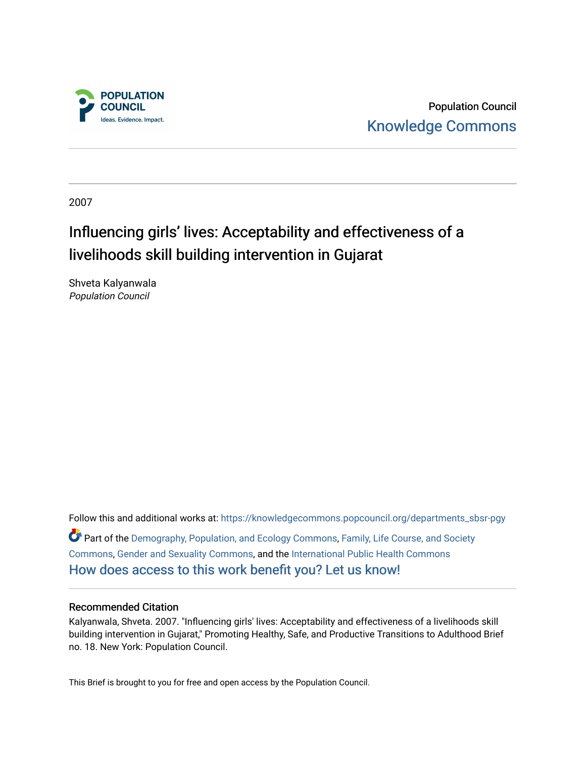

Population Council [Knowledge Commons](https://knowledgecommons.popcouncil.org/) 

2007

# Influencing girls' lives: Acceptability and effectiveness of a livelihoods skill building intervention in Gujarat

Shveta Kalyanwala Population Council

Follow this and additional works at: [https://knowledgecommons.popcouncil.org/departments\\_sbsr-pgy](https://knowledgecommons.popcouncil.org/departments_sbsr-pgy?utm_source=knowledgecommons.popcouncil.org%2Fdepartments_sbsr-pgy%2F816&utm_medium=PDF&utm_campaign=PDFCoverPages)  Part of the [Demography, Population, and Ecology Commons,](https://network.bepress.com/hgg/discipline/418?utm_source=knowledgecommons.popcouncil.org%2Fdepartments_sbsr-pgy%2F816&utm_medium=PDF&utm_campaign=PDFCoverPages) [Family, Life Course, and Society](https://network.bepress.com/hgg/discipline/419?utm_source=knowledgecommons.popcouncil.org%2Fdepartments_sbsr-pgy%2F816&utm_medium=PDF&utm_campaign=PDFCoverPages)  [Commons](https://network.bepress.com/hgg/discipline/419?utm_source=knowledgecommons.popcouncil.org%2Fdepartments_sbsr-pgy%2F816&utm_medium=PDF&utm_campaign=PDFCoverPages), [Gender and Sexuality Commons,](https://network.bepress.com/hgg/discipline/420?utm_source=knowledgecommons.popcouncil.org%2Fdepartments_sbsr-pgy%2F816&utm_medium=PDF&utm_campaign=PDFCoverPages) and the [International Public Health Commons](https://network.bepress.com/hgg/discipline/746?utm_source=knowledgecommons.popcouncil.org%2Fdepartments_sbsr-pgy%2F816&utm_medium=PDF&utm_campaign=PDFCoverPages)  [How does access to this work benefit you? Let us know!](https://pcouncil.wufoo.com/forms/open-access-to-population-council-research/)

### Recommended Citation

Kalyanwala, Shveta. 2007. "Influencing girls' lives: Acceptability and effectiveness of a livelihoods skill building intervention in Gujarat," Promoting Healthy, Safe, and Productive Transitions to Adulthood Brief no. 18. New York: Population Council.

This Brief is brought to you for free and open access by the Population Council.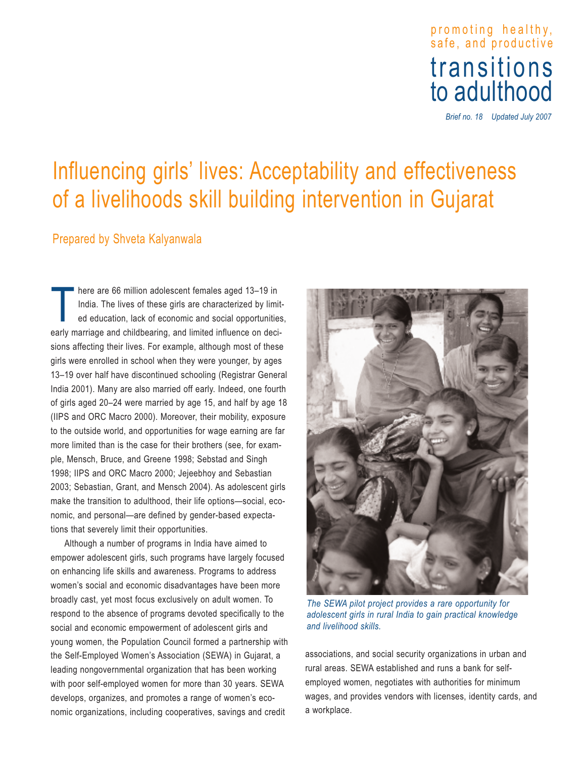# pro moti ng hea lthy, safe, and productive transitions<br>to adulthood

*Brief no. 18 Updated July 2007*

# Influencing girls' lives: Acceptability and effectiveness of a livelihoods skill building intervention in Gujarat

# Prepared by Shveta Kalyanwala

T here are 66 million adolescent females aged 13–19 in India. The lives of these girls are characterized by limited education, lack of economic and social opportunities, early marriage and childbearing, and limited influence on decisions affecting their lives. For example, although most of these girls were enrolled in school when they were younger, by ages 13–19 over half have discontinued schooling (Registrar General India 2001). Many are also married off early. Indeed, one fourth of girls aged 20–24 were married by age 15, and half by age 18 (IIPS and ORC Macro 2000). Moreover, their mobility, exposure to the outside world, and opportunities for wage earning are far more limited than is the case for their brothers (see, for example, Mensch, Bruce, and Greene 1998; Sebstad and Singh 1998; IIPS and ORC Macro 2000; Jejeebhoy and Sebastian 2003; Sebastian, Grant, and Mensch 2004). As adolescent girls make the transition to adulthood, their life options—social, economic, and personal—are defined by gender-based expectations that severely limit their opportunities.

Although a number of programs in India have aimed to empower adolescent girls, such programs have largely focused on enhancing life skills and awareness. Programs to address women's social and economic disadvantages have been more broadly cast, yet most focus exclusively on adult women. To respond to the absence of programs devoted specifically to the social and economic empowerment of adolescent girls and young women, the Population Council formed a partnership with the Self-Employed Women's Association (SEWA) in Gujarat, a leading nongovernmental organization that has been working with poor self-employed women for more than 30 years. SEWA develops, organizes, and promotes a range of women's economic organizations, including cooperatives, savings and credit



*The SEWA pilot project provides a rare opportunity for adolescent girls in rural India to gain practical knowledge and livelihood skills.*

associations, and social security organizations in urban and rural areas. SEWA established and runs a bank for selfemployed women, negotiates with authorities for minimum wages, and provides vendors with licenses, identity cards, and a workplace.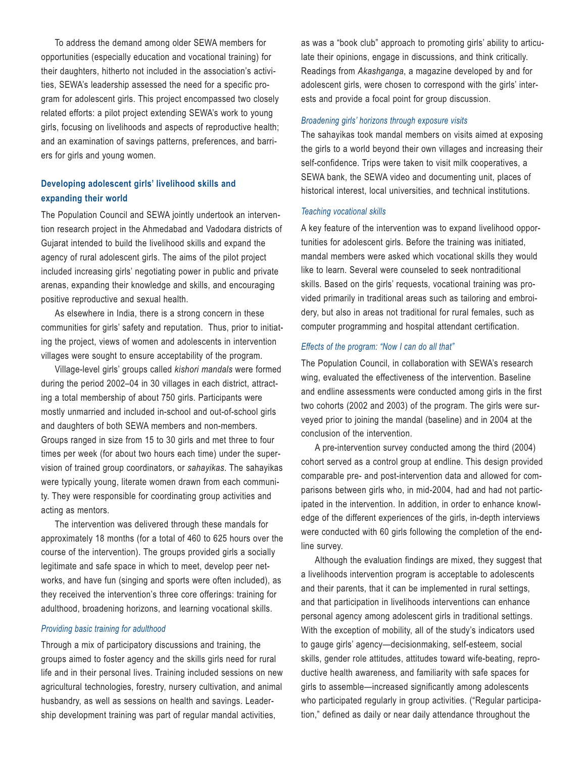To address the demand among older SEWA members for opportunities (especially education and vocational training) for their daughters, hitherto not included in the association's activities, SEWA's leadership assessed the need for a specific program for adolescent girls. This project encompassed two closely related efforts: a pilot project extending SEWA's work to young girls, focusing on livelihoods and aspects of reproductive health; and an examination of savings patterns, preferences, and barriers for girls and young women.

## **Developing adolescent girls' livelihood skills and expanding their world**

The Population Council and SEWA jointly undertook an intervention research project in the Ahmedabad and Vadodara districts of Gujarat intended to build the livelihood skills and expand the agency of rural adolescent girls. The aims of the pilot project included increasing girls' negotiating power in public and private arenas, expanding their knowledge and skills, and encouraging positive reproductive and sexual health.

As elsewhere in India, there is a strong concern in these communities for girls' safety and reputation. Thus, prior to initiating the project, views of women and adolescents in intervention villages were sought to ensure acceptability of the program.

Village-level girls' groups called *kishori mandals* were formed during the period 2002–04 in 30 villages in each district, attracting a total membership of about 750 girls. Participants were mostly unmarried and included in-school and out-of-school girls and daughters of both SEWA members and non-members. Groups ranged in size from 15 to 30 girls and met three to four times per week (for about two hours each time) under the supervision of trained group coordinators, or *sahayikas*. The sahayikas were typically young, literate women drawn from each community. They were responsible for coordinating group activities and acting as mentors.

The intervention was delivered through these mandals for approximately 18 months (for a total of 460 to 625 hours over the course of the intervention). The groups provided girls a socially legitimate and safe space in which to meet, develop peer networks, and have fun (singing and sports were often included), as they received the intervention's three core offerings: training for adulthood, broadening horizons, and learning vocational skills.

#### *Providing basic training for adulthood*

Through a mix of participatory discussions and training, the groups aimed to foster agency and the skills girls need for rural life and in their personal lives. Training included sessions on new agricultural technologies, forestry, nursery cultivation, and animal husbandry, as well as sessions on health and savings. Leadership development training was part of regular mandal activities,

as was a "book club" approach to promoting girls' ability to articulate their opinions, engage in discussions, and think critically. Readings from *Akashganga*, a magazine developed by and for adolescent girls, were chosen to correspond with the girls' interests and provide a focal point for group discussion.

#### *Broadening girls' horizons through exposure visits*

The sahayikas took mandal members on visits aimed at exposing the girls to a world beyond their own villages and increasing their self-confidence. Trips were taken to visit milk cooperatives, a SEWA bank, the SEWA video and documenting unit, places of historical interest, local universities, and technical institutions.

#### *Teaching vocational skills*

A key feature of the intervention was to expand livelihood opportunities for adolescent girls. Before the training was initiated, mandal members were asked which vocational skills they would like to learn. Several were counseled to seek nontraditional skills. Based on the girls' requests, vocational training was provided primarily in traditional areas such as tailoring and embroidery, but also in areas not traditional for rural females, such as computer programming and hospital attendant certification.

#### *Effects of the program: "Now I can do all that"*

The Population Council, in collaboration with SEWA's research wing, evaluated the effectiveness of the intervention. Baseline and endline assessments were conducted among girls in the first two cohorts (2002 and 2003) of the program. The girls were surveyed prior to joining the mandal (baseline) and in 2004 at the conclusion of the intervention.

A pre-intervention survey conducted among the third (2004) cohort served as a control group at endline. This design provided comparable pre- and post-intervention data and allowed for comparisons between girls who, in mid-2004, had and had not participated in the intervention. In addition, in order to enhance knowledge of the different experiences of the girls, in-depth interviews were conducted with 60 girls following the completion of the endline survey.

Although the evaluation findings are mixed, they suggest that a livelihoods intervention program is acceptable to adolescents and their parents, that it can be implemented in rural settings, and that participation in livelihoods interventions can enhance personal agency among adolescent girls in traditional settings. With the exception of mobility, all of the study's indicators used to gauge girls' agency—decisionmaking, self-esteem, social skills, gender role attitudes, attitudes toward wife-beating, reproductive health awareness, and familiarity with safe spaces for girls to assemble—increased significantly among adolescents who participated regularly in group activities. ("Regular participation," defined as daily or near daily attendance throughout the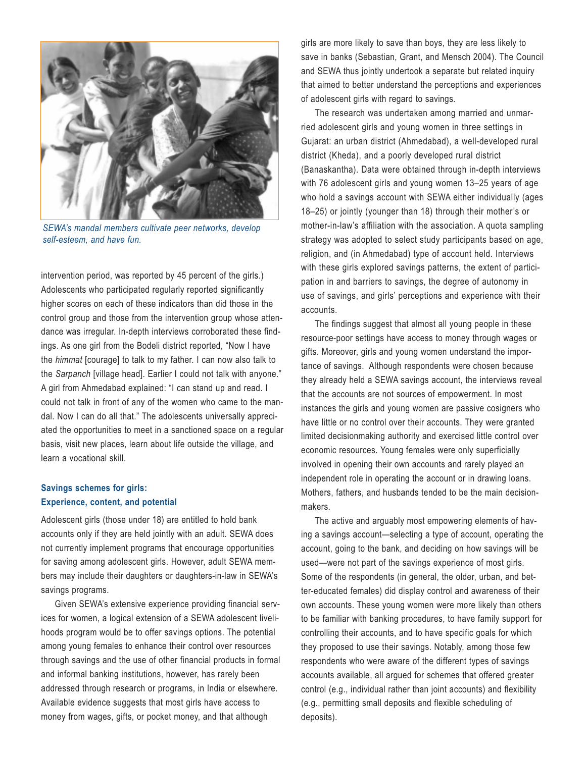

*SEWA's mandal members cultivate peer networks, develop self-esteem, and have fun.*

intervention period, was reported by 45 percent of the girls.) Adolescents who participated regularly reported significantly higher scores on each of these indicators than did those in the control group and those from the intervention group whose attendance was irregular. In-depth interviews corroborated these findings. As one girl from the Bodeli district reported, "Now I have the *himmat* [courage] to talk to my father. I can now also talk to the *Sarpanch* [village head]. Earlier I could not talk with anyone." A girl from Ahmedabad explained: "I can stand up and read. I could not talk in front of any of the women who came to the mandal. Now I can do all that." The adolescents universally appreciated the opportunities to meet in a sanctioned space on a regular basis, visit new places, learn about life outside the village, and learn a vocational skill.

# **Savings schemes for girls: Experience, content, and potential**

Adolescent girls (those under 18) are entitled to hold bank accounts only if they are held jointly with an adult. SEWA does not currently implement programs that encourage opportunities for saving among adolescent girls. However, adult SEWA members may include their daughters or daughters-in-law in SEWA's savings programs.

Given SEWA's extensive experience providing financial services for women, a logical extension of a SEWA adolescent livelihoods program would be to offer savings options. The potential among young females to enhance their control over resources through savings and the use of other financial products in formal and informal banking institutions, however, has rarely been addressed through research or programs, in India or elsewhere. Available evidence suggests that most girls have access to money from wages, gifts, or pocket money, and that although

girls are more likely to save than boys, they are less likely to save in banks (Sebastian, Grant, and Mensch 2004). The Council and SEWA thus jointly undertook a separate but related inquiry that aimed to better understand the perceptions and experiences of adolescent girls with regard to savings.

The research was undertaken among married and unmarried adolescent girls and young women in three settings in Gujarat: an urban district (Ahmedabad), a well-developed rural district (Kheda), and a poorly developed rural district (Banaskantha). Data were obtained through in-depth interviews with 76 adolescent girls and young women 13–25 years of age who hold a savings account with SEWA either individually (ages 18–25) or jointly (younger than 18) through their mother's or mother-in-law's affiliation with the association. A quota sampling strategy was adopted to select study participants based on age, religion, and (in Ahmedabad) type of account held. Interviews with these girls explored savings patterns, the extent of participation in and barriers to savings, the degree of autonomy in use of savings, and girls' perceptions and experience with their accounts.

The findings suggest that almost all young people in these resource-poor settings have access to money through wages or gifts. Moreover, girls and young women understand the importance of savings. Although respondents were chosen because they already held a SEWA savings account, the interviews reveal that the accounts are not sources of empowerment. In most instances the girls and young women are passive cosigners who have little or no control over their accounts. They were granted limited decisionmaking authority and exercised little control over economic resources. Young females were only superficially involved in opening their own accounts and rarely played an independent role in operating the account or in drawing loans. Mothers, fathers, and husbands tended to be the main decisionmakers.

The active and arguably most empowering elements of having a savings account—selecting a type of account, operating the account, going to the bank, and deciding on how savings will be used—were not part of the savings experience of most girls. Some of the respondents (in general, the older, urban, and better-educated females) did display control and awareness of their own accounts. These young women were more likely than others to be familiar with banking procedures, to have family support for controlling their accounts, and to have specific goals for which they proposed to use their savings. Notably, among those few respondents who were aware of the different types of savings accounts available, all argued for schemes that offered greater control (e.g., individual rather than joint accounts) and flexibility (e.g., permitting small deposits and flexible scheduling of deposits).